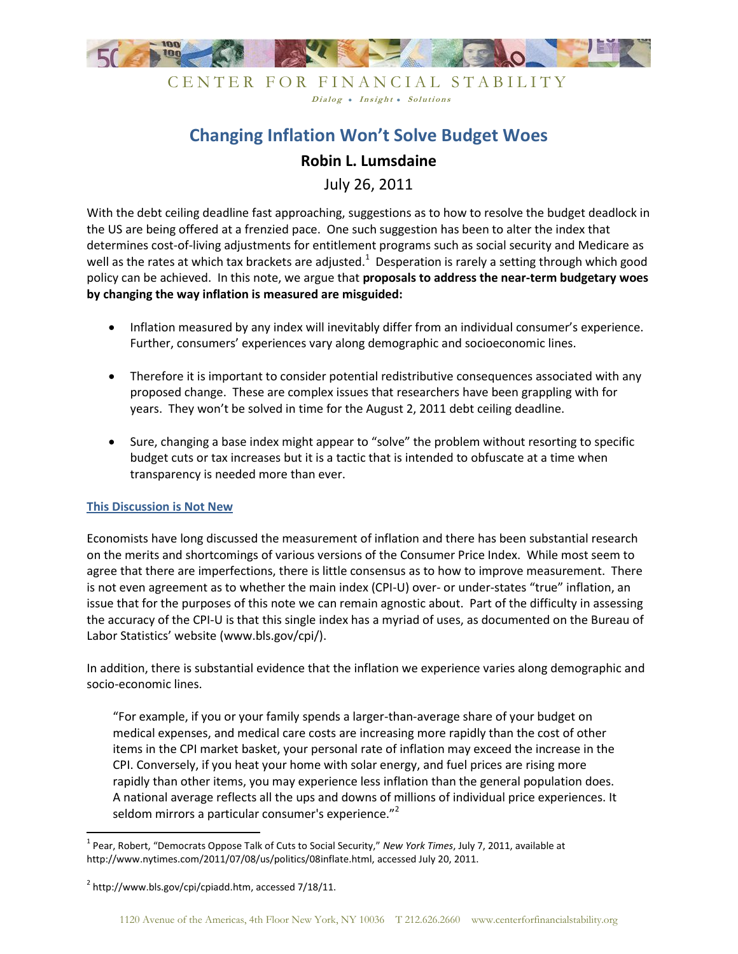

CENTER FOR FINANCIAL STABILITY Dialog • Insight • Solutions

# **Changing Inflation Won't Solve Budget Woes**

## **Robin L. Lumsdaine**

July 26, 2011

With the debt ceiling deadline fast approaching, suggestions as to how to resolve the budget deadlock in the US are being offered at a frenzied pace. One such suggestion has been to alter the index that determines cost-of-living adjustments for entitlement programs such as social security and Medicare as well as the rates at which tax brackets are adjusted.<sup>1</sup> Desperation is rarely a setting through which good policy can be achieved. In this note, we argue that **proposals to address the near-term budgetary woes by changing the way inflation is measured are misguided:**

- Inflation measured by any index will inevitably differ from an individual consumer's experience. Further, consumers' experiences vary along demographic and socioeconomic lines.
- Therefore it is important to consider potential redistributive consequences associated with any proposed change. These are complex issues that researchers have been grappling with for years. They won't be solved in time for the August 2, 2011 debt ceiling deadline.
- Sure, changing a base index might appear to "solve" the problem without resorting to specific budget cuts or tax increases but it is a tactic that is intended to obfuscate at a time when transparency is needed more than ever.

## **This Discussion is Not New**

Economists have long discussed the measurement of inflation and there has been substantial research on the merits and shortcomings of various versions of the Consumer Price Index. While most seem to agree that there are imperfections, there is little consensus as to how to improve measurement. There is not even agreement as to whether the main index (CPI-U) over- or under-states "true" inflation, an issue that for the purposes of this note we can remain agnostic about. Part of the difficulty in assessing the accuracy of the CPI-U is that this single index has a myriad of uses, as documented on the Bureau of Labor Statistics' website (www.bls.gov/cpi/).

In addition, there is substantial evidence that the inflation we experience varies along demographic and socio-economic lines.

"For example, if you or your family spends a larger-than-average share of your budget on medical expenses, and medical care costs are increasing more rapidly than the cost of other items in the CPI market basket, your personal rate of inflation may exceed the increase in the CPI. Conversely, if you heat your home with solar energy, and fuel prices are rising more rapidly than other items, you may experience less inflation than the general population does. A national average reflects all the ups and downs of millions of individual price experiences. It seldom mirrors a particular consumer's experience."<sup>2</sup>

 $\overline{\phantom{a}}$ 

<sup>1</sup> Pear, Robert, "Democrats Oppose Talk of Cuts to Social Security," *New York Times*, July 7, 2011, available at http://www.nytimes.com/2011/07/08/us/politics/08inflate.html, accessed July 20, 2011.

 $^2$  http://www.bls.gov/cpi/cpiadd.htm, accessed 7/18/11.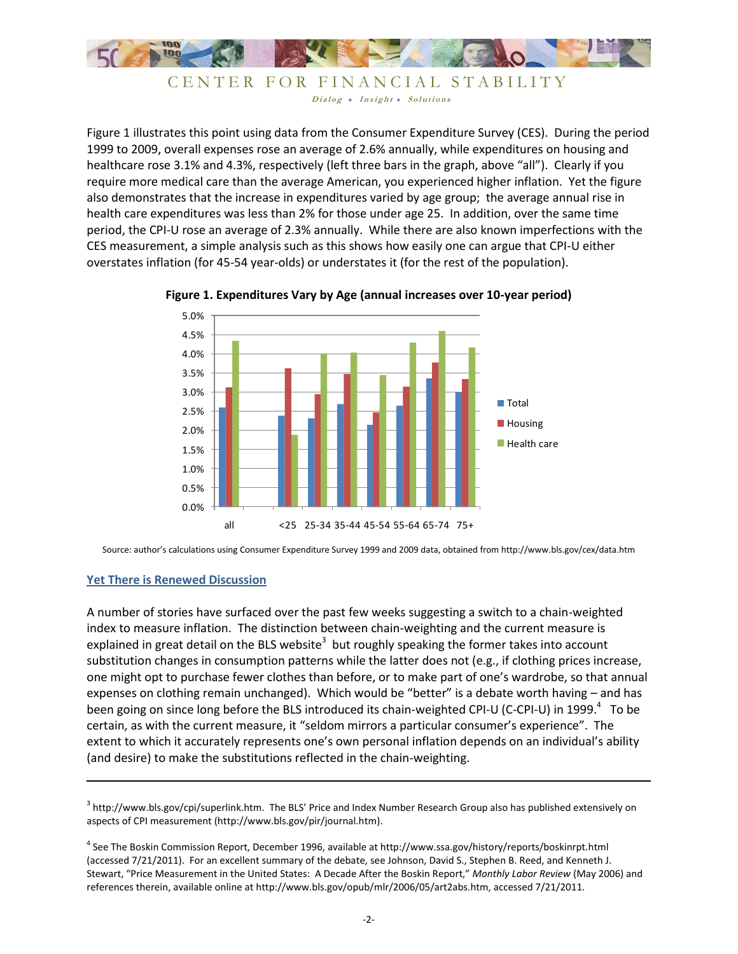

```
CENTER FOR FINANCIAL STABILITY
   Dialog . Insight . Solutions
```
Figure 1 illustrates this point using data from the Consumer Expenditure Survey (CES). During the period 1999 to 2009, overall expenses rose an average of 2.6% annually, while expenditures on housing and healthcare rose 3.1% and 4.3%, respectively (left three bars in the graph, above "all"). Clearly if you require more medical care than the average American, you experienced higher inflation. Yet the figure also demonstrates that the increase in expenditures varied by age group; the average annual rise in health care expenditures was less than 2% for those under age 25. In addition, over the same time period, the CPI-U rose an average of 2.3% annually. While there are also known imperfections with the CES measurement, a simple analysis such as this shows how easily one can argue that CPI-U either overstates inflation (for 45-54 year-olds) or understates it (for the rest of the population).





Source: author's calculations using Consumer Expenditure Survey 1999 and 2009 data, obtained from http://www.bls.gov/cex/data.htm

## **Yet There is Renewed Discussion**

 $\overline{\phantom{a}}$ 

A number of stories have surfaced over the past few weeks suggesting a switch to a chain-weighted index to measure inflation. The distinction between chain-weighting and the current measure is explained in great detail on the BLS website<sup>3</sup> but roughly speaking the former takes into account substitution changes in consumption patterns while the latter does not (e.g., if clothing prices increase, one might opt to purchase fewer clothes than before, or to make part of one's wardrobe, so that annual expenses on clothing remain unchanged). Which would be "better" is a debate worth having – and has been going on since long before the BLS introduced its chain-weighted CPI-U (C-CPI-U) in 1999. $4$  To be certain, as with the current measure, it "seldom mirrors a particular consumer's experience". The extent to which it accurately represents one's own personal inflation depends on an individual's ability (and desire) to make the substitutions reflected in the chain-weighting.

 $^3$  http://www.bls.gov/cpi/superlink.htm. The BLS' Price and Index Number Research Group also has published extensively on aspects of CPI measurement (http://www.bls.gov/pir/journal.htm).

<sup>&</sup>lt;sup>4</sup> See The Boskin Commission Report, December 1996, available at http://www.ssa.gov/history/reports/boskinrpt.html (accessed 7/21/2011). For an excellent summary of the debate, see Johnson, David S., Stephen B. Reed, and Kenneth J. Stewart, "Price Measurement in the United States: A Decade After the Boskin Report," *Monthly Labor Review* (May 2006) and references therein, available online at http://www.bls.gov/opub/mlr/2006/05/art2abs.htm, accessed 7/21/2011.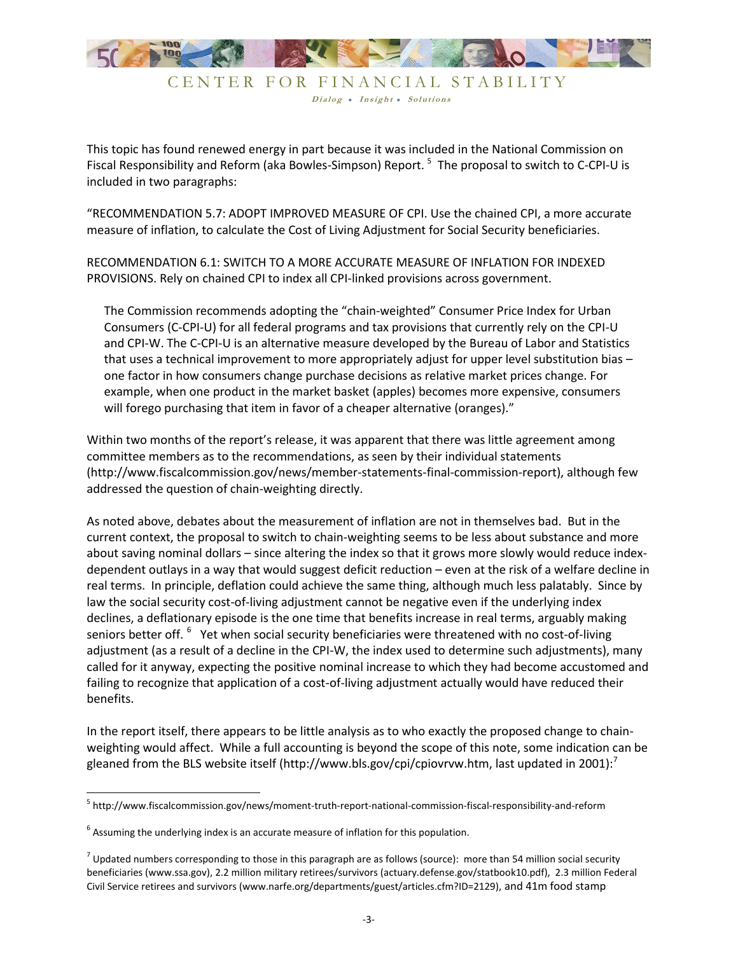

Dialog . Insight . Solutions

This topic has found renewed energy in part because it was included in the National Commission on Fiscal Responsibility and Reform (aka Bowles-Simpson) Report. <sup>5</sup> The proposal to switch to C-CPI-U is included in two paragraphs:

"RECOMMENDATION 5.7: ADOPT IMPROVED MEASURE OF CPI. Use the chained CPI, a more accurate measure of inflation, to calculate the Cost of Living Adjustment for Social Security beneficiaries.

RECOMMENDATION 6.1: SWITCH TO A MORE ACCURATE MEASURE OF INFLATION FOR INDEXED PROVISIONS. Rely on chained CPI to index all CPI-linked provisions across government.

The Commission recommends adopting the "chain-weighted" Consumer Price Index for Urban Consumers (C-CPI-U) for all federal programs and tax provisions that currently rely on the CPI-U and CPI-W. The C-CPI-U is an alternative measure developed by the Bureau of Labor and Statistics that uses a technical improvement to more appropriately adjust for upper level substitution bias – one factor in how consumers change purchase decisions as relative market prices change. For example, when one product in the market basket (apples) becomes more expensive, consumers will forego purchasing that item in favor of a cheaper alternative (oranges)."

Within two months of the report's release, it was apparent that there was little agreement among committee members as to the recommendations, as seen by their individual statements (http://www.fiscalcommission.gov/news/member-statements-final-commission-report), although few addressed the question of chain-weighting directly.

As noted above, debates about the measurement of inflation are not in themselves bad. But in the current context, the proposal to switch to chain-weighting seems to be less about substance and more about saving nominal dollars – since altering the index so that it grows more slowly would reduce indexdependent outlays in a way that would suggest deficit reduction – even at the risk of a welfare decline in real terms. In principle, deflation could achieve the same thing, although much less palatably. Since by law the social security cost-of-living adjustment cannot be negative even if the underlying index declines, a deflationary episode is the one time that benefits increase in real terms, arguably making seniors better off. <sup>6</sup> Yet when social security beneficiaries were threatened with no cost-of-living adjustment (as a result of a decline in the CPI-W, the index used to determine such adjustments), many called for it anyway, expecting the positive nominal increase to which they had become accustomed and failing to recognize that application of a cost-of-living adjustment actually would have reduced their benefits.

In the report itself, there appears to be little analysis as to who exactly the proposed change to chainweighting would affect. While a full accounting is beyond the scope of this note, some indication can be gleaned from the BLS website itself (http://www.bls.gov/cpi/cpiovrvw.htm, last updated in 2001):<sup>7</sup>

 $\overline{\phantom{a}}$ 

<sup>5</sup> http://www.fiscalcommission.gov/news/moment-truth-report-national-commission-fiscal-responsibility-and-reform

 $<sup>6</sup>$  Assuming the underlying index is an accurate measure of inflation for this population.</sup>

 $^7$  Updated numbers corresponding to those in this paragraph are as follows (source): more than 54 million social security beneficiaries (www.ssa.gov), 2.2 million military retirees/survivors (actuary.defense.gov/statbook10.pdf), 2.3 million Federal Civil Service retirees and survivors (www.narfe.org/departments/guest/articles.cfm?ID=2129), and 41m food stamp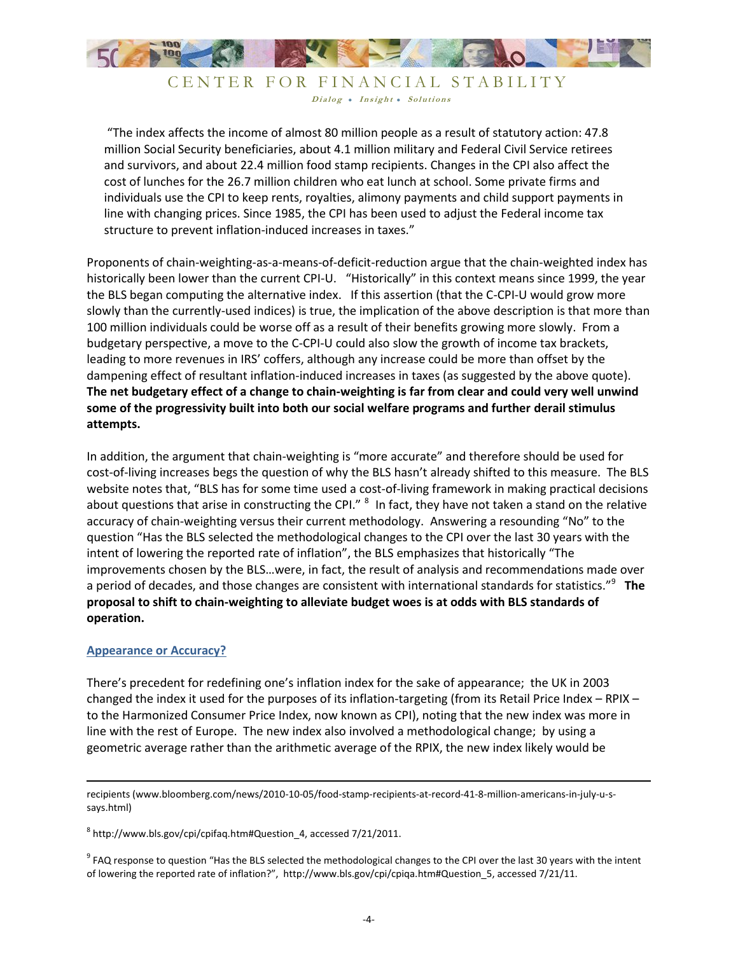

## CENTER FOR FINANCIAL STABILITY Dialog • Insight • Solutions

"The index affects the income of almost 80 million people as a result of statutory action: 47.8 million Social Security beneficiaries, about 4.1 million military and Federal Civil Service retirees and survivors, and about 22.4 million food stamp recipients. Changes in the CPI also affect the cost of lunches for the 26.7 million children who eat lunch at school. Some private firms and individuals use the CPI to keep rents, royalties, alimony payments and child support payments in line with changing prices. Since 1985, the CPI has been used to adjust the Federal income tax structure to prevent inflation-induced increases in taxes."

Proponents of chain-weighting-as-a-means-of-deficit-reduction argue that the chain-weighted index has historically been lower than the current CPI-U. "Historically" in this context means since 1999, the year the BLS began computing the alternative index. If this assertion (that the C-CPI-U would grow more slowly than the currently-used indices) is true, the implication of the above description is that more than 100 million individuals could be worse off as a result of their benefits growing more slowly. From a budgetary perspective, a move to the C-CPI-U could also slow the growth of income tax brackets, leading to more revenues in IRS' coffers, although any increase could be more than offset by the dampening effect of resultant inflation-induced increases in taxes (as suggested by the above quote). **The net budgetary effect of a change to chain-weighting is far from clear and could very well unwind some of the progressivity built into both our social welfare programs and further derail stimulus attempts.**

In addition, the argument that chain-weighting is "more accurate" and therefore should be used for cost-of-living increases begs the question of why the BLS hasn't already shifted to this measure. The BLS website notes that, "BLS has for some time used a cost-of-living framework in making practical decisions about questions that arise in constructing the CPI." <sup>8</sup> In fact, they have not taken a stand on the relative accuracy of chain-weighting versus their current methodology. Answering a resounding "No" to the question "Has the BLS selected the methodological changes to the CPI over the last 30 years with the intent of lowering the reported rate of inflation", the BLS emphasizes that historically "The improvements chosen by the BLS…were, in fact, the result of analysis and recommendations made over a period of decades, and those changes are consistent with international standards for statistics."<sup>9</sup> **The proposal to shift to chain-weighting to alleviate budget woes is at odds with BLS standards of operation.**

#### **Appearance or Accuracy?**

 $\overline{\phantom{a}}$ 

There's precedent for redefining one's inflation index for the sake of appearance; the UK in 2003 changed the index it used for the purposes of its inflation-targeting (from its Retail Price Index – RPIX – to the Harmonized Consumer Price Index, now known as CPI), noting that the new index was more in line with the rest of Europe. The new index also involved a methodological change; by using a geometric average rather than the arithmetic average of the RPIX, the new index likely would be

 $^8$  http://www.bls.gov/cpi/cpifaq.htm#Question\_4, accessed 7/21/2011.

 $^9$  FAQ response to question "Has the BLS selected the methodological changes to the CPI over the last 30 years with the intent of lowering the reported rate of inflation?", http://www.bls.gov/cpi/cpiqa.htm#Question\_5, accessed 7/21/11.

recipients (www.bloomberg.com/news/2010-10-05/food-stamp-recipients-at-record-41-8-million-americans-in-july-u-ssays.html)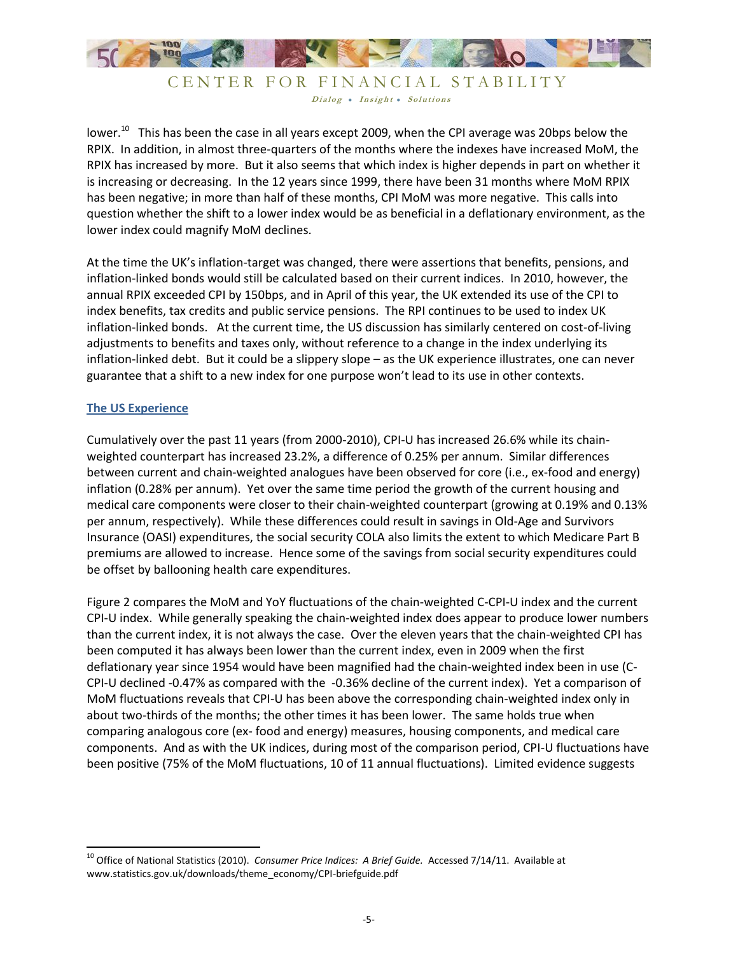

CENTER FOR FINANCIAL STABILITY Dialog . Insight . Solutions

lower.<sup>10</sup> This has been the case in all years except 2009, when the CPI average was 20bps below the RPIX. In addition, in almost three-quarters of the months where the indexes have increased MoM, the RPIX has increased by more. But it also seems that which index is higher depends in part on whether it is increasing or decreasing. In the 12 years since 1999, there have been 31 months where MoM RPIX has been negative; in more than half of these months, CPI MoM was more negative. This calls into question whether the shift to a lower index would be as beneficial in a deflationary environment, as the lower index could magnify MoM declines.

At the time the UK's inflation-target was changed, there were assertions that benefits, pensions, and inflation-linked bonds would still be calculated based on their current indices. In 2010, however, the annual RPIX exceeded CPI by 150bps, and in April of this year, the UK extended its use of the CPI to index benefits, tax credits and public service pensions. The RPI continues to be used to index UK inflation-linked bonds. At the current time, the US discussion has similarly centered on cost-of-living adjustments to benefits and taxes only, without reference to a change in the index underlying its inflation-linked debt. But it could be a slippery slope – as the UK experience illustrates, one can never guarantee that a shift to a new index for one purpose won't lead to its use in other contexts.

## **The US Experience**

 $\overline{\phantom{a}}$ 

Cumulatively over the past 11 years (from 2000-2010), CPI-U has increased 26.6% while its chainweighted counterpart has increased 23.2%, a difference of 0.25% per annum. Similar differences between current and chain-weighted analogues have been observed for core (i.e., ex-food and energy) inflation (0.28% per annum). Yet over the same time period the growth of the current housing and medical care components were closer to their chain-weighted counterpart (growing at 0.19% and 0.13% per annum, respectively). While these differences could result in savings in Old-Age and Survivors Insurance (OASI) expenditures, the social security COLA also limits the extent to which Medicare Part B premiums are allowed to increase. Hence some of the savings from social security expenditures could be offset by ballooning health care expenditures.

Figure 2 compares the MoM and YoY fluctuations of the chain-weighted C-CPI-U index and the current CPI-U index. While generally speaking the chain-weighted index does appear to produce lower numbers than the current index, it is not always the case. Over the eleven years that the chain-weighted CPI has been computed it has always been lower than the current index, even in 2009 when the first deflationary year since 1954 would have been magnified had the chain-weighted index been in use (C-CPI-U declined -0.47% as compared with the -0.36% decline of the current index). Yet a comparison of MoM fluctuations reveals that CPI-U has been above the corresponding chain-weighted index only in about two-thirds of the months; the other times it has been lower. The same holds true when comparing analogous core (ex- food and energy) measures, housing components, and medical care components. And as with the UK indices, during most of the comparison period, CPI-U fluctuations have been positive (75% of the MoM fluctuations, 10 of 11 annual fluctuations). Limited evidence suggests

<sup>&</sup>lt;sup>10</sup> Office of National Statistics (2010). *Consumer Price Indices: A Brief Guide.* Accessed 7/14/11. Available at www.statistics.gov.uk/downloads/theme\_economy/CPI-briefguide.pdf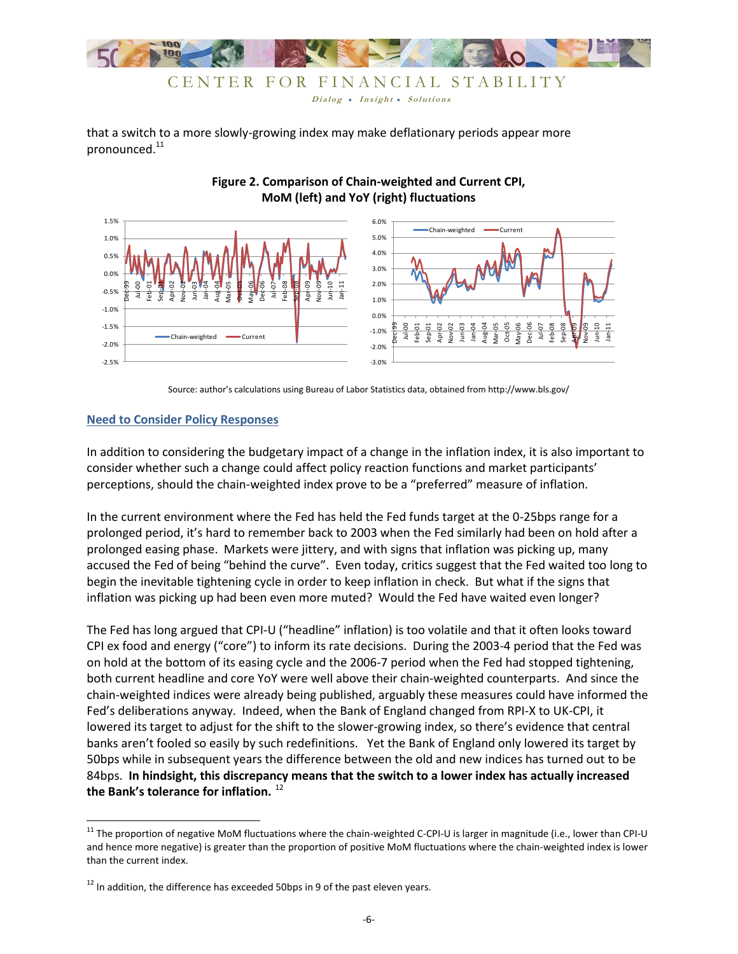

that a switch to a more slowly-growing index may make deflationary periods appear more pronounced.<sup>11</sup>



## **Figure 2. Comparison of Chain-weighted and Current CPI, MoM (left) and YoY (right) fluctuations**

Source: author's calculations using Bureau of Labor Statistics data, obtained from http://www.bls.gov/

## **Need to Consider Policy Responses**

l

In addition to considering the budgetary impact of a change in the inflation index, it is also important to consider whether such a change could affect policy reaction functions and market participants' perceptions, should the chain-weighted index prove to be a "preferred" measure of inflation.

In the current environment where the Fed has held the Fed funds target at the 0-25bps range for a prolonged period, it's hard to remember back to 2003 when the Fed similarly had been on hold after a prolonged easing phase. Markets were jittery, and with signs that inflation was picking up, many accused the Fed of being "behind the curve". Even today, critics suggest that the Fed waited too long to begin the inevitable tightening cycle in order to keep inflation in check. But what if the signs that inflation was picking up had been even more muted? Would the Fed have waited even longer?

The Fed has long argued that CPI-U ("headline" inflation) is too volatile and that it often looks toward CPI ex food and energy ("core") to inform its rate decisions. During the 2003-4 period that the Fed was on hold at the bottom of its easing cycle and the 2006-7 period when the Fed had stopped tightening, both current headline and core YoY were well above their chain-weighted counterparts. And since the chain-weighted indices were already being published, arguably these measures could have informed the Fed's deliberations anyway. Indeed, when the Bank of England changed from RPI-X to UK-CPI, it lowered its target to adjust for the shift to the slower-growing index, so there's evidence that central banks aren't fooled so easily by such redefinitions. Yet the Bank of England only lowered its target by 50bps while in subsequent years the difference between the old and new indices has turned out to be 84bps. **In hindsight, this discrepancy means that the switch to a lower index has actually increased**  the Bank's tolerance for inflation.<sup>12</sup>

 $11$  The proportion of negative MoM fluctuations where the chain-weighted C-CPI-U is larger in magnitude (i.e., lower than CPI-U and hence more negative) is greater than the proportion of positive MoM fluctuations where the chain-weighted index is lower than the current index.

 $12$  In addition, the difference has exceeded 50bps in 9 of the past eleven years.